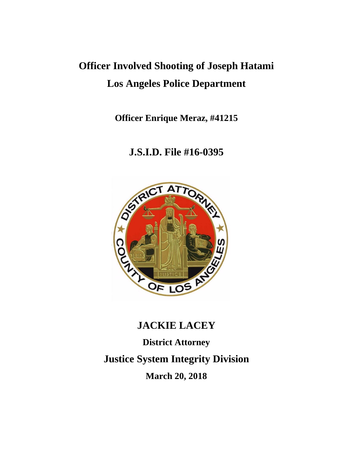# **Officer Involved Shooting of Joseph Hatami Los Angeles Police Department**

**Officer Enrique Meraz, #41215**

# **J.S.I.D. File #16-0395**



# **JACKIE LACEY**

**District Attorney Justice System Integrity Division March 20, 2018**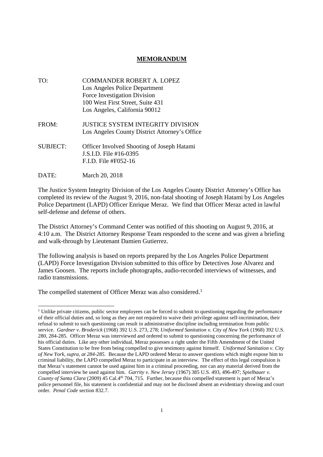#### **MEMORANDUM**

TO: COMMANDER ROBERT A. LOPEZ Los Angeles Police Department Force Investigation Division 100 West First Street, Suite 431 Los Angeles, California 90012 FROM: JUSTICE SYSTEM INTEGRITY DIVISION Los Angeles County District Attorney's Office SUBJECT: Officer Involved Shooting of Joseph Hatami J.S.I.D. File #16-0395 F.I.D. File #F052-16 DATE: March 20, 2018

The Justice System Integrity Division of the Los Angeles County District Attorney's Office has completed its review of the August 9, 2016, non-fatal shooting of Joseph Hatami by Los Angeles Police Department (LAPD) Officer Enrique Meraz. We find that Officer Meraz acted in lawful self-defense and defense of others.

The District Attorney's Command Center was notified of this shooting on August 9, 2016, at 4:10 a.m. The District Attorney Response Team responded to the scene and was given a briefing and walk-through by Lieutenant Damien Gutierrez.

The following analysis is based on reports prepared by the Los Angeles Police Department (LAPD) Force Investigation Division submitted to this office by Detectives Jose Alvarez and James Goosen. The reports include photographs, audio-recorded interviews of witnesses, and radio transmissions.

The compelled statement of Officer Meraz was also considered.<sup>1</sup>

<sup>&</sup>lt;sup>1</sup> Unlike private citizens, public sector employees can be forced to submit to questioning regarding the performance of their official duties and, so long as they are not required to waive their privilege against self-incrimination, their refusal to submit to such questioning can result in administrative discipline including termination from public service. *Gardner v. Broderick* (1968) 392 U.S. 273, 278; *Uniformed Sanitation v. City of New York* (1968) 392 U.S. 280, 284-285. Officer Meraz was interviewed and ordered to submit to questioning concerning the performance of his official duties. Like any other individual, Meraz possesses a right under the Fifth Amendment of the United States Constitution to be free from being compelled to give testimony against himself. *Uniformed Sanitation v. City of New York, supra, at 284-285.* Because the LAPD ordered Meraz to answer questions which might expose him to criminal liability, the LAPD compelled Meraz to participate in an interview. The effect of this legal compulsion is that Meraz's statement cannot be used against him in a criminal proceeding, nor can any material derived from the compelled interview be used against him. *Garrity v. New Jersey* (1967) 385 U.S. 493, 496-497; *Spielbauer v. County of Santa Clara* (2009) 45 Cal.4<sup>th</sup> 704, 715. Further, because this compelled statement is part of Meraz's police personnel file, his statement is confidential and may not be disclosed absent an evidentiary showing and court order. *Penal Code* section 832.7.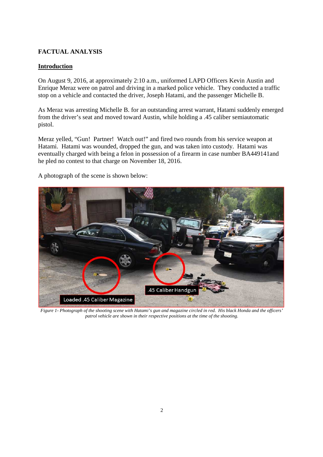# **FACTUAL ANALYSIS**

# **Introduction**

On August 9, 2016, at approximately 2:10 a.m., uniformed LAPD Officers Kevin Austin and Enrique Meraz were on patrol and driving in a marked police vehicle. They conducted a traffic stop on a vehicle and contacted the driver, Joseph Hatami, and the passenger Michelle B.

As Meraz was arresting Michelle B. for an outstanding arrest warrant, Hatami suddenly emerged from the driver's seat and moved toward Austin, while holding a .45 caliber semiautomatic pistol.

Meraz yelled, "Gun! Partner! Watch out!" and fired two rounds from his service weapon at Hatami. Hatami was wounded, dropped the gun, and was taken into custody. Hatami was eventually charged with being a felon in possession of a firearm in case number BA449141and he pled no contest to that charge on November 18, 2016.

A photograph of the scene is shown below:



*Figure 1- Photograph of the shooting scene with Hatami's gun and magazine circled in red. His black Honda and the officers' patrol vehicle are shown in their respective positions at the time of the shooting.*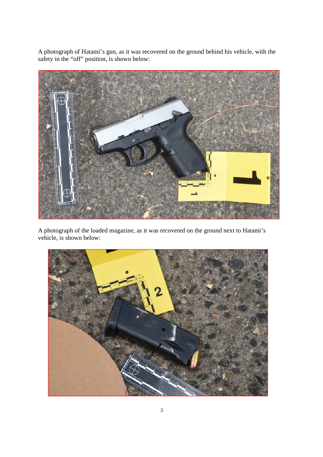A photograph of Hatami's gun, as it was recovered on the ground behind his vehicle, with the safety in the "off" position, is shown below:



A photograph of the loaded magazine, as it was recovered on the ground next to Hatami's vehicle, is shown below:

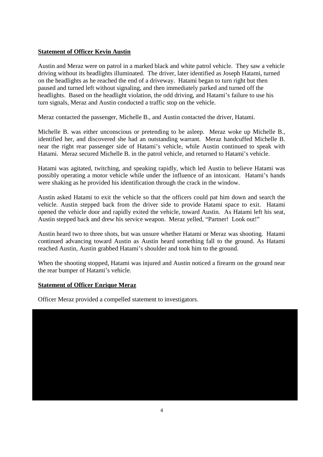# **Statement of Officer Kevin Austin**

Austin and Meraz were on patrol in a marked black and white patrol vehicle. They saw a vehicle driving without its headlights illuminated. The driver, later identified as Joseph Hatami, turned on the headlights as he reached the end of a driveway. Hatami began to turn right but then paused and turned left without signaling, and then immediately parked and turned off the headlights. Based on the headlight violation, the odd driving, and Hatami's failure to use his turn signals, Meraz and Austin conducted a traffic stop on the vehicle.

Meraz contacted the passenger, Michelle B., and Austin contacted the driver, Hatami.

Michelle B. was either unconscious or pretending to be asleep. Meraz woke up Michelle B., identified her, and discovered she had an outstanding warrant. Meraz handcuffed Michelle B. near the right rear passenger side of Hatami's vehicle, while Austin continued to speak with Hatami. Meraz secured Michelle B. in the patrol vehicle, and returned to Hatami's vehicle.

Hatami was agitated, twitching, and speaking rapidly, which led Austin to believe Hatami was possibly operating a motor vehicle while under the influence of an intoxicant. Hatami's hands were shaking as he provided his identification through the crack in the window.

Austin asked Hatami to exit the vehicle so that the officers could pat him down and search the vehicle. Austin stepped back from the driver side to provide Hatami space to exit. Hatami opened the vehicle door and rapidly exited the vehicle, toward Austin. As Hatami left his seat, Austin stepped back and drew his service weapon. Meraz yelled, "Partner! Look out!"

Austin heard two to three shots, but was unsure whether Hatami or Meraz was shooting. Hatami continued advancing toward Austin as Austin heard something fall to the ground. As Hatami reached Austin, Austin grabbed Hatami's shoulder and took him to the ground.

When the shooting stopped, Hatami was injured and Austin noticed a firearm on the ground near the rear bumper of Hatami's vehicle.

# **Statement of Officer Enrique Meraz**

Officer Meraz provided a compelled statement to investigators.

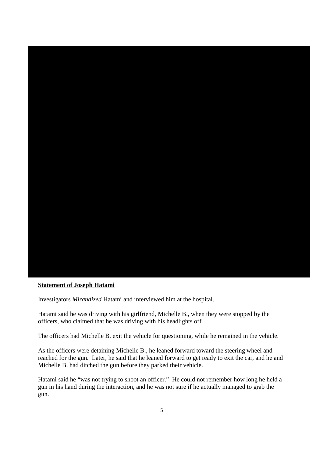

#### **Statement of Joseph Hatami**

Investigators *Mirandized* Hatami and interviewed him at the hospital.

Hatami said he was driving with his girlfriend, Michelle B., when they were stopped by the officers, who claimed that he was driving with his headlights off.

The officers had Michelle B. exit the vehicle for questioning, while he remained in the vehicle.

As the officers were detaining Michelle B., he leaned forward toward the steering wheel and reached for the gun. Later, he said that he leaned forward to get ready to exit the car, and he and Michelle B. had ditched the gun before they parked their vehicle.

Hatami said he "was not trying to shoot an officer." He could not remember how long he held a gun in his hand during the interaction, and he was not sure if he actually managed to grab the gun.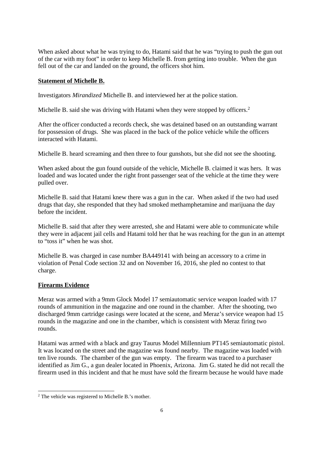When asked about what he was trying to do, Hatami said that he was "trying to push the gun out of the car with my foot" in order to keep Michelle B. from getting into trouble. When the gun fell out of the car and landed on the ground, the officers shot him.

#### **Statement of Michelle B.**

Investigators *Mirandized* Michelle B. and interviewed her at the police station.

Michelle B. said she was driving with Hatami when they were stopped by officers.<sup>2</sup>

After the officer conducted a records check, she was detained based on an outstanding warrant for possession of drugs. She was placed in the back of the police vehicle while the officers interacted with Hatami.

Michelle B. heard screaming and then three to four gunshots, but she did not see the shooting.

When asked about the gun found outside of the vehicle, Michelle B. claimed it was hers. It was loaded and was located under the right front passenger seat of the vehicle at the time they were pulled over.

Michelle B. said that Hatami knew there was a gun in the car. When asked if the two had used drugs that day, she responded that they had smoked methamphetamine and marijuana the day before the incident.

Michelle B. said that after they were arrested, she and Hatami were able to communicate while they were in adjacent jail cells and Hatami told her that he was reaching for the gun in an attempt to "toss it" when he was shot.

Michelle B. was charged in case number BA449141 with being an accessory to a crime in violation of Penal Code section 32 and on November 16, 2016, she pled no contest to that charge.

# **Firearms Evidence**

Meraz was armed with a 9mm Glock Model 17 semiautomatic service weapon loaded with 17 rounds of ammunition in the magazine and one round in the chamber. After the shooting, two discharged 9mm cartridge casings were located at the scene, and Meraz's service weapon had 15 rounds in the magazine and one in the chamber, which is consistent with Meraz firing two rounds.

Hatami was armed with a black and gray Taurus Model Millennium PT145 semiautomatic pistol. It was located on the street and the magazine was found nearby. The magazine was loaded with ten live rounds. The chamber of the gun was empty. The firearm was traced to a purchaser identified as Jim G., a gun dealer located in Phoenix, Arizona. Jim G. stated he did not recall the firearm used in this incident and that he must have sold the firearm because he would have made

<sup>2</sup> The vehicle was registered to Michelle B.'s mother.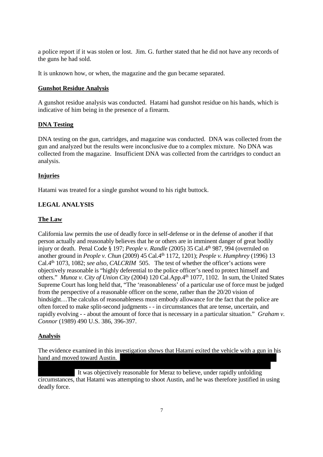a police report if it was stolen or lost. Jim. G. further stated that he did not have any records of the guns he had sold.

It is unknown how, or when, the magazine and the gun became separated.

# **Gunshot Residue Analysis**

A gunshot residue analysis was conducted. Hatami had gunshot residue on his hands, which is indicative of him being in the presence of a firearm.

#### **DNA Testing**

DNA testing on the gun, cartridges, and magazine was conducted. DNA was collected from the gun and analyzed but the results were inconclusive due to a complex mixture. No DNA was collected from the magazine. Insufficient DNA was collected from the cartridges to conduct an analysis.

# **Injuries**

Hatami was treated for a single gunshot wound to his right buttock.

# **LEGAL ANALYSIS**

#### **The Law**

California law permits the use of deadly force in self-defense or in the defense of another if that person actually and reasonably believes that he or others are in imminent danger of great bodily injury or death. Penal Code § 197; *People v. Randle* (2005) 35 Cal.4<sup>th</sup> 987, 994 (overruled on another ground in *People v. Chun* (2009) 45 Cal.4th 1172, 1201); *People v. Humphrey* (1996) 13 Cal.4th 1073, 1082; *see also, CALCRIM* 505. The test of whether the officer's actions were objectively reasonable is "highly deferential to the police officer's need to protect himself and others." *Munoz v. City of Union City* (2004) 120 Cal.App.4<sup>th</sup> 1077, 1102. In sum, the United States Supreme Court has long held that, "The 'reasonableness' of a particular use of force must be judged from the perspective of a reasonable officer on the scene, rather than the 20/20 vision of hindsight...The calculus of reasonableness must embody allowance for the fact that the police are often forced to make split-second judgments - - in circumstances that are tense, uncertain, and rapidly evolving - - about the amount of force that is necessary in a particular situation." *Graham v. Connor* (1989) 490 U.S. 386, 396-397.

#### **Analysis**

The evidence examined in this investigation shows that Hatami exited the vehicle with a gun in his hand and moved toward Austin.

It was objectively reasonable for Meraz to believe, under rapidly unfolding circumstances, that Hatami was attempting to shoot Austin, and he was therefore justified in using deadly force.